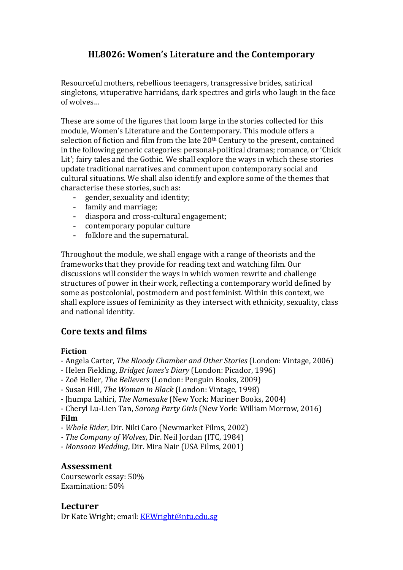# **HL8026: Women's Literature and the Contemporary**

Resourceful mothers, rebellious teenagers, transgressive brides, satirical singletons, vituperative harridans, dark spectres and girls who laugh in the face of wolves…

These are some of the figures that loom large in the stories collected for this module, Women's Literature and the Contemporary. This module offers a selection of fiction and film from the late 20th Century to the present, contained in the following generic categories: personal-political dramas; romance, or 'Chick Lit'; fairy tales and the Gothic. We shall explore the ways in which these stories update traditional narratives and comment upon contemporary social and cultural situations. We shall also identify and explore some of the themes that characterise these stories, such as:

- gender, sexuality and identity;<br>- family and marriage;
- family and marriage;
- diaspora and cross-cultural engagement;
- contemporary popular culture<br>- folklore and the supernatural.
- folklore and the supernatural.

Throughout the module, we shall engage with a range of theorists and the frameworks that they provide for reading text and watching film. Our discussions will consider the ways in which women rewrite and challenge structures of power in their work, reflecting a contemporary world defined by some as postcolonial, postmodern and post feminist. Within this context, we shall explore issues of femininity as they intersect with ethnicity, sexuality, class and national identity.

## **Core texts and films**

#### **Fiction**

- Angela Carter, *The Bloody Chamber and Other Stories* (London: Vintage, 2006)
- Helen Fielding, *Bridget Jones's Diary* (London: Picador, 1996)
- Zoë Heller, *The Believers* (London: Penguin Books, 2009)
- Susan Hill, *The Woman in Black* (London: Vintage, 1998)
- Jhumpa Lahiri, *The Namesake* (New York: Mariner Books, 2004)

- Cheryl Lu-Lien Tan, *Sarong Party Girls* (New York: William Morrow, 2016) **Film**

- *Whale Rider*, Dir. Niki Caro (Newmarket Films, 2002)
- *- The Company of Wolves*, Dir. Neil Jordan (ITC, 1984)
- *Monsoon Wedding*, Dir. Mira Nair (USA Films, 2001)

### **Assessment**

Coursework essay: 50% Examination: 50%

#### **Lecturer**

Dr Kate Wright; email: [KEWright@ntu.edu.sg](mailto:KEWright@ntu.edu.sg)